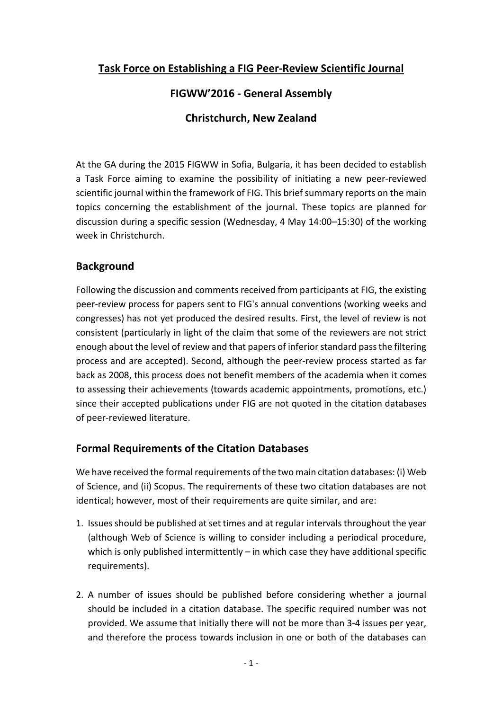# **Task Force on Establishing a FIG Peer-Review Scientific Journal**

# **FIGWW'2016 - General Assembly**

#### **Christchurch, New Zealand**

At the GA during the 2015 FIGWW in Sofia, Bulgaria, it has been decided to establish a Task Force aiming to examine the possibility of initiating a new peer-reviewed scientific journal within the framework of FIG. This brief summary reports on the main topics concerning the establishment of the journal. These topics are planned for discussion during a specific session (Wednesday, 4 May 14:00–15:30) of the working week in Christchurch.

#### **Background**

Following the discussion and comments received from participants at FIG, the existing peer-review process for papers sent to FIG's annual conventions (working weeks and congresses) has not yet produced the desired results. First, the level of review is not consistent (particularly in light of the claim that some of the reviewers are not strict enough about the level of review and that papers of inferior standard pass the filtering process and are accepted). Second, although the peer-review process started as far back as 2008, this process does not benefit members of the academia when it comes to assessing their achievements (towards academic appointments, promotions, etc.) since their accepted publications under FIG are not quoted in the citation databases of peer-reviewed literature.

# **Formal Requirements of the Citation Databases**

We have received the formal requirements of the two main citation databases: (i) Web of Science, and (ii) Scopus. The requirements of these two citation databases are not identical; however, most of their requirements are quite similar, and are:

- 1. Issues should be published at set times and at regular intervals throughout the year (although Web of Science is willing to consider including a periodical procedure, which is only published intermittently  $-$  in which case they have additional specific requirements).
- 2. A number of issues should be published before considering whether a journal should be included in a citation database. The specific required number was not provided. We assume that initially there will not be more than 3-4 issues per year, and therefore the process towards inclusion in one or both of the databases can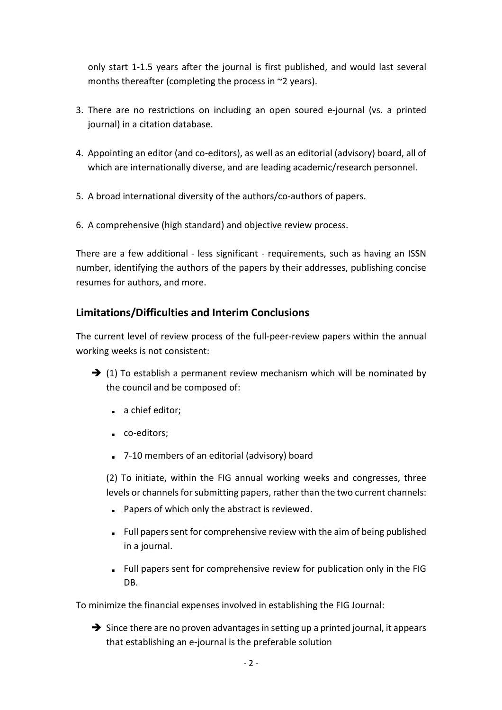only start 1-1.5 years after the journal is first published, and would last several months thereafter (completing the process in ~2 years).

- 3. There are no restrictions on including an open soured e-journal (vs. a printed journal) in a citation database.
- 4. Appointing an editor (and co-editors), as well as an editorial (advisory) board, all of which are internationally diverse, and are leading academic/research personnel.
- 5. A broad international diversity of the authors/co-authors of papers.
- 6. A comprehensive (high standard) and objective review process.

There are a few additional - less significant - requirements, such as having an ISSN number, identifying the authors of the papers by their addresses, publishing concise resumes for authors, and more.

# **Limitations/Difficulties and Interim Conclusions**

The current level of review process of the full-peer-review papers within the annual working weeks is not consistent:

- $\rightarrow$  (1) To establish a permanent review mechanism which will be nominated by the council and be composed of:
	- a chief editor;
	- co-editors;
	- 7-10 members of an editorial (advisory) board

(2) To initiate, within the FIG annual working weeks and congresses, three levels or channels for submitting papers, rather than the two current channels:

- Papers of which only the abstract is reviewed.
- Full papers sent for comprehensive review with the aim of being published in a journal.
- Full papers sent for comprehensive review for publication only in the FIG DB.

To minimize the financial expenses involved in establishing the FIG Journal:

 $\rightarrow$  Since there are no proven advantages in setting up a printed journal, it appears that establishing an e-journal is the preferable solution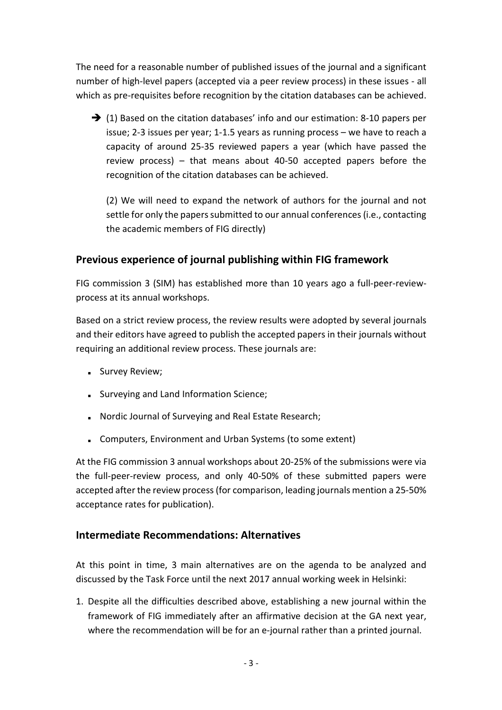The need for a reasonable number of published issues of the journal and a significant number of high-level papers (accepted via a peer review process) in these issues - all which as pre-requisites before recognition by the citation databases can be achieved.

 $\rightarrow$  (1) Based on the citation databases' info and our estimation: 8-10 papers per issue; 2-3 issues per year; 1-1.5 years as running process – we have to reach a capacity of around 25-35 reviewed papers a year (which have passed the review process) – that means about 40-50 accepted papers before the recognition of the citation databases can be achieved.

(2) We will need to expand the network of authors for the journal and not settle for only the papers submitted to our annual conferences (i.e., contacting the academic members of FIG directly)

# **Previous experience of journal publishing within FIG framework**

FIG commission 3 (SIM) has established more than 10 years ago a full-peer-reviewprocess at its annual workshops.

Based on a strict review process, the review results were adopted by several journals and their editors have agreed to publish the accepted papers in their journals without requiring an additional review process. These journals are:

- Survey Review;
- Surveying and Land Information Science;
- Nordic Journal of Surveying and Real Estate Research;
- Computers, Environment and Urban Systems (to some extent)

At the FIG commission 3 annual workshops about 20-25% of the submissions were via the full-peer-review process, and only 40-50% of these submitted papers were accepted after the review process (for comparison, leading journals mention a 25-50% acceptance rates for publication).

#### **Intermediate Recommendations: Alternatives**

At this point in time, 3 main alternatives are on the agenda to be analyzed and discussed by the Task Force until the next 2017 annual working week in Helsinki:

1. Despite all the difficulties described above, establishing a new journal within the framework of FIG immediately after an affirmative decision at the GA next year, where the recommendation will be for an e-journal rather than a printed journal.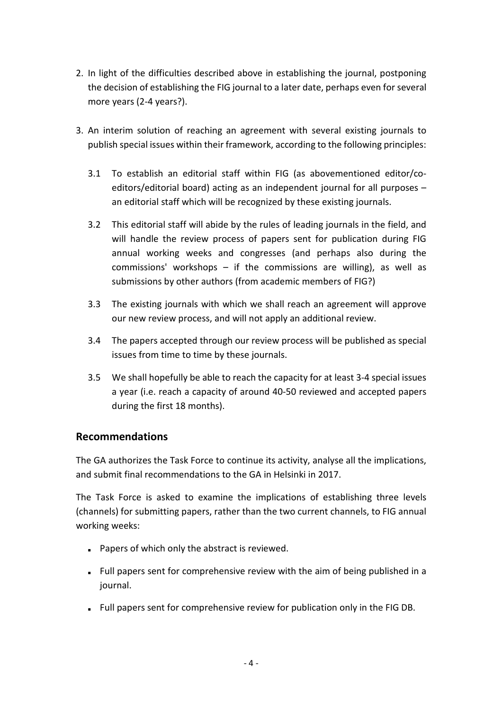- 2. In light of the difficulties described above in establishing the journal, postponing the decision of establishing the FIG journal to a later date, perhaps even for several more years (2-4 years?).
- 3. An interim solution of reaching an agreement with several existing journals to publish special issues within their framework, according to the following principles:
	- 3.1 To establish an editorial staff within FIG (as abovementioned editor/coeditors/editorial board) acting as an independent journal for all purposes – an editorial staff which will be recognized by these existing journals.
	- 3.2 This editorial staff will abide by the rules of leading journals in the field, and will handle the review process of papers sent for publication during FIG annual working weeks and congresses (and perhaps also during the commissions' workshops  $-$  if the commissions are willing), as well as submissions by other authors (from academic members of FIG?)
	- 3.3 The existing journals with which we shall reach an agreement will approve our new review process, and will not apply an additional review.
	- 3.4 The papers accepted through our review process will be published as special issues from time to time by these journals.
	- 3.5 We shall hopefully be able to reach the capacity for at least 3-4 special issues a year (i.e. reach a capacity of around 40-50 reviewed and accepted papers during the first 18 months).

#### **Recommendations**

The GA authorizes the Task Force to continue its activity, analyse all the implications, and submit final recommendations to the GA in Helsinki in 2017.

The Task Force is asked to examine the implications of establishing three levels (channels) for submitting papers, rather than the two current channels, to FIG annual working weeks:

- Papers of which only the abstract is reviewed.
- Full papers sent for comprehensive review with the aim of being published in a journal.
- Full papers sent for comprehensive review for publication only in the FIG DB.